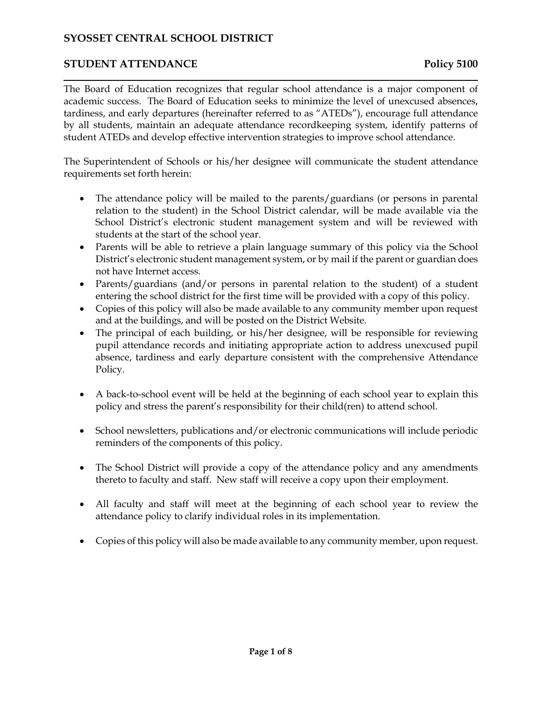## **STUDENT ATTENDANCE Policy 5100**

The Board of Education recognizes that regular school attendance is a major component of academic success. The Board of Education seeks to minimize the level of unexcused absences, tardiness, and early departures (hereinafter referred to as "ATEDs"), encourage full attendance by all students, maintain an adequate attendance recordkeeping system, identify patterns of student ATEDs and develop effective intervention strategies to improve school attendance.

The Superintendent of Schools or his/her designee will communicate the student attendance requirements set forth herein:

- The attendance policy will be mailed to the parents/guardians (or persons in parental relation to the student) in the School District calendar, will be made available via the School District's electronic student management system and will be reviewed with students at the start of the school year.
- Parents will be able to retrieve a plain language summary of this policy via the School District's electronic student management system, or by mail if the parent or guardian does not have Internet access.
- Parents/guardians (and/or persons in parental relation to the student) of a student entering the school district for the first time will be provided with a copy of this policy.
- Copies of this policy will also be made available to any community member upon request and at the buildings, and will be posted on the District Website.
- The principal of each building, or his/her designee, will be responsible for reviewing pupil attendance records and initiating appropriate action to address unexcused pupil absence, tardiness and early departure consistent with the comprehensive Attendance Policy.
- A back-to-school event will be held at the beginning of each school year to explain this policy and stress the parent's responsibility for their child(ren) to attend school.
- School newsletters, publications and/or electronic communications will include periodic reminders of the components of this policy.
- The School District will provide a copy of the attendance policy and any amendments thereto to faculty and staff. New staff will receive a copy upon their employment.
- All faculty and staff will meet at the beginning of each school year to review the attendance policy to clarify individual roles in its implementation.
- Copies of this policy will also be made available to any community member, upon request.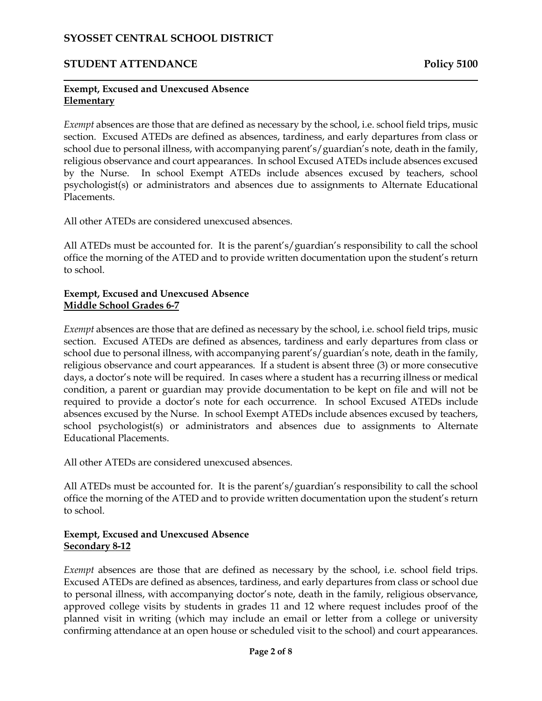## **STUDENT ATTENDANCE Policy 5100**

#### **Exempt, Excused and Unexcused Absence Elementary**

*Exempt* absences are those that are defined as necessary by the school, i.e. school field trips, music section. Excused ATEDs are defined as absences, tardiness, and early departures from class or school due to personal illness, with accompanying parent's/guardian's note, death in the family, religious observance and court appearances. In school Excused ATEDs include absences excused by the Nurse. In school Exempt ATEDs include absences excused by teachers, school psychologist(s) or administrators and absences due to assignments to Alternate Educational Placements.

All other ATEDs are considered unexcused absences.

All ATEDs must be accounted for. It is the parent's/guardian's responsibility to call the school office the morning of the ATED and to provide written documentation upon the student's return to school.

#### **Exempt, Excused and Unexcused Absence Middle School Grades 6-7**

*Exempt* absences are those that are defined as necessary by the school, *i.e.* school field trips, music section. Excused ATEDs are defined as absences, tardiness and early departures from class or school due to personal illness, with accompanying parent's/guardian's note, death in the family, religious observance and court appearances. If a student is absent three (3) or more consecutive days, a doctor's note will be required. In cases where a student has a recurring illness or medical condition, a parent or guardian may provide documentation to be kept on file and will not be required to provide a doctor's note for each occurrence. In school Excused ATEDs include absences excused by the Nurse. In school Exempt ATEDs include absences excused by teachers, school psychologist(s) or administrators and absences due to assignments to Alternate Educational Placements.

All other ATEDs are considered unexcused absences.

All ATEDs must be accounted for. It is the parent's/guardian's responsibility to call the school office the morning of the ATED and to provide written documentation upon the student's return to school.

### **Exempt, Excused and Unexcused Absence Secondary 8-12**

*Exempt* absences are those that are defined as necessary by the school, i.e. school field trips. Excused ATEDs are defined as absences, tardiness, and early departures from class or school due to personal illness, with accompanying doctor's note, death in the family, religious observance, approved college visits by students in grades 11 and 12 where request includes proof of the planned visit in writing (which may include an email or letter from a college or university confirming attendance at an open house or scheduled visit to the school) and court appearances.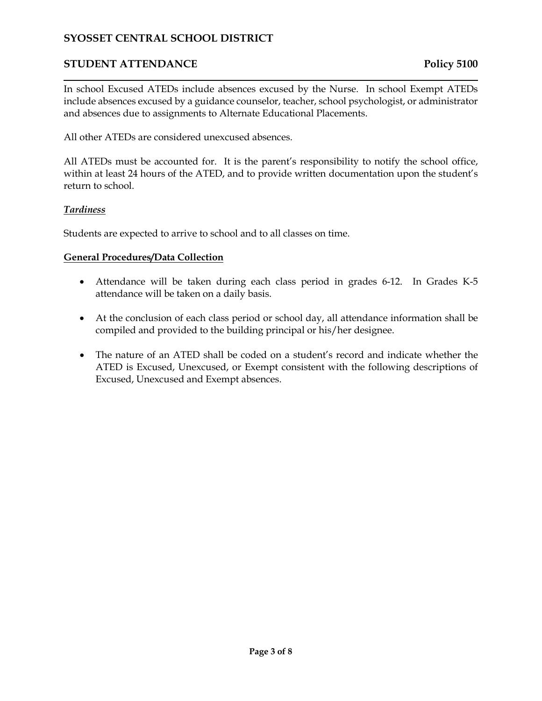# **STUDENT ATTENDANCE Policy 5100**

In school Excused ATEDs include absences excused by the Nurse. In school Exempt ATEDs include absences excused by a guidance counselor, teacher, school psychologist, or administrator and absences due to assignments to Alternate Educational Placements.

All other ATEDs are considered unexcused absences.

All ATEDs must be accounted for. It is the parent's responsibility to notify the school office, within at least 24 hours of the ATED, and to provide written documentation upon the student's return to school.

#### *Tardiness*

Students are expected to arrive to school and to all classes on time.

#### **General Procedures/Data Collection**

- Attendance will be taken during each class period in grades 6-12. In Grades K-5 attendance will be taken on a daily basis.
- At the conclusion of each class period or school day, all attendance information shall be compiled and provided to the building principal or his/her designee.
- The nature of an ATED shall be coded on a student's record and indicate whether the ATED is Excused, Unexcused, or Exempt consistent with the following descriptions of Excused, Unexcused and Exempt absences.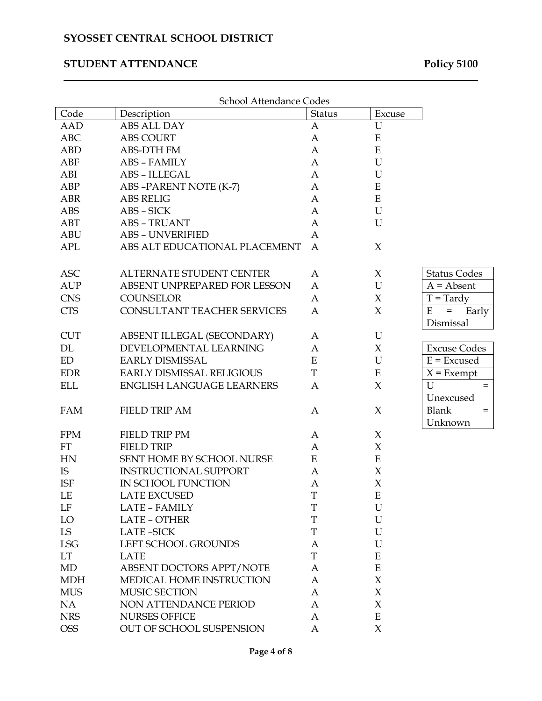# **STUDENT ATTENDANCE Policy 5100**

| School Attendance Codes |                                  |              |                     |                     |  |  |  |
|-------------------------|----------------------------------|--------------|---------------------|---------------------|--|--|--|
| Code                    | Description                      | Status       | Excuse              |                     |  |  |  |
| AAD                     | ABS ALL DAY                      | A            | $\mathbf U$         |                     |  |  |  |
| <b>ABC</b>              | <b>ABS COURT</b>                 | A            | ${\bf E}$           |                     |  |  |  |
| <b>ABD</b>              | <b>ABS-DTH FM</b>                | A            | ${\bf E}$           |                     |  |  |  |
| ABF                     | <b>ABS - FAMILY</b>              | A            | $\mathbf U$         |                     |  |  |  |
| ABI                     | ABS - ILLEGAL                    | A            | $\mathbf U$         |                     |  |  |  |
| ABP                     | ABS-PARENT NOTE (K-7)            | A            | ${\bf E}$           |                     |  |  |  |
| <b>ABR</b>              | <b>ABS RELIG</b>                 | A            | ${\bf E}$           |                     |  |  |  |
| <b>ABS</b>              | ABS - SICK                       | A            | U                   |                     |  |  |  |
| ABT                     | <b>ABS - TRUANT</b>              | A            | U                   |                     |  |  |  |
| <b>ABU</b>              | <b>ABS - UNVERIFIED</b>          | A            |                     |                     |  |  |  |
| APL                     | ABS ALT EDUCATIONAL PLACEMENT    | $\mathbf{A}$ | $\chi$              |                     |  |  |  |
| <b>ASC</b>              | ALTERNATE STUDENT CENTER         | A            | $\chi$              | <b>Status Codes</b> |  |  |  |
| <b>AUP</b>              | ABSENT UNPREPARED FOR LESSON     | A            | $\mathbf U$         | $A = Absent$        |  |  |  |
| <b>CNS</b>              | <b>COUNSELOR</b>                 | A            | $\chi$              | $T = Tardy$         |  |  |  |
| <b>CTS</b>              | CONSULTANT TEACHER SERVICES      | A            | $\chi$              | E<br>Early<br>$=$   |  |  |  |
|                         |                                  |              |                     | Dismissal           |  |  |  |
| <b>CUT</b>              | ABSENT ILLEGAL (SECONDARY)       | A            | U                   |                     |  |  |  |
| DL                      | DEVELOPMENTAL LEARNING           | A            | X                   | <b>Excuse Codes</b> |  |  |  |
| ED                      | <b>EARLY DISMISSAL</b>           | ${\bf E}$    | U                   | $E = Excused$       |  |  |  |
| <b>EDR</b>              | <b>EARLY DISMISSAL RELIGIOUS</b> | $\rm T$      | ${\bf E}$           | $X =$ Exempt        |  |  |  |
| <b>ELL</b>              | <b>ENGLISH LANGUAGE LEARNERS</b> | $\mathbf{A}$ | $\chi$              | $\mathbf U$<br>$=$  |  |  |  |
|                         |                                  |              |                     | Unexcused           |  |  |  |
| <b>FAM</b>              | <b>FIELD TRIP AM</b>             | A            | X                   | <b>Blank</b><br>$=$ |  |  |  |
|                         |                                  |              |                     | Unknown             |  |  |  |
| <b>FPM</b>              | <b>FIELD TRIP PM</b>             | A            | X                   |                     |  |  |  |
| <b>FT</b>               | <b>FIELD TRIP</b>                | A            | $\chi$              |                     |  |  |  |
| HN                      | SENT HOME BY SCHOOL NURSE        | ${\bf E}$    | ${\bf E}$           |                     |  |  |  |
| IS                      | <b>INSTRUCTIONAL SUPPORT</b>     | A            | $\chi$              |                     |  |  |  |
| <b>ISF</b>              | IN SCHOOL FUNCTION               | A            | $\chi$              |                     |  |  |  |
| LE                      | <b>LATE EXCUSED</b>              | T            | Ε                   |                     |  |  |  |
| LF                      | LATE - FAMILY                    | T            | $\mathbf U$         |                     |  |  |  |
| LO                      | <b>LATE - OTHER</b>              | T            | U                   |                     |  |  |  |
| LS                      | <b>LATE-SICK</b>                 | T            | U                   |                     |  |  |  |
| <b>LSG</b>              | LEFT SCHOOL GROUNDS              | A            | U                   |                     |  |  |  |
| LT                      | <b>LATE</b>                      | $\mathbf T$  | ${\bf E}$           |                     |  |  |  |
| MD                      | ABSENT DOCTORS APPT/NOTE         | A            | ${\bf E}$           |                     |  |  |  |
| <b>MDH</b>              | MEDICAL HOME INSTRUCTION         | A            | $\boldsymbol{\chi}$ |                     |  |  |  |
| <b>MUS</b>              | MUSIC SECTION                    | A            | $\chi$              |                     |  |  |  |
| NA                      | <b>NON ATTENDANCE PERIOD</b>     | A            | $\chi$              |                     |  |  |  |
| <b>NRS</b>              | <b>NURSES OFFICE</b>             | A            | ${\bf E}$           |                     |  |  |  |
| <b>OSS</b>              | OUT OF SCHOOL SUSPENSION         | A            | $\chi$              |                     |  |  |  |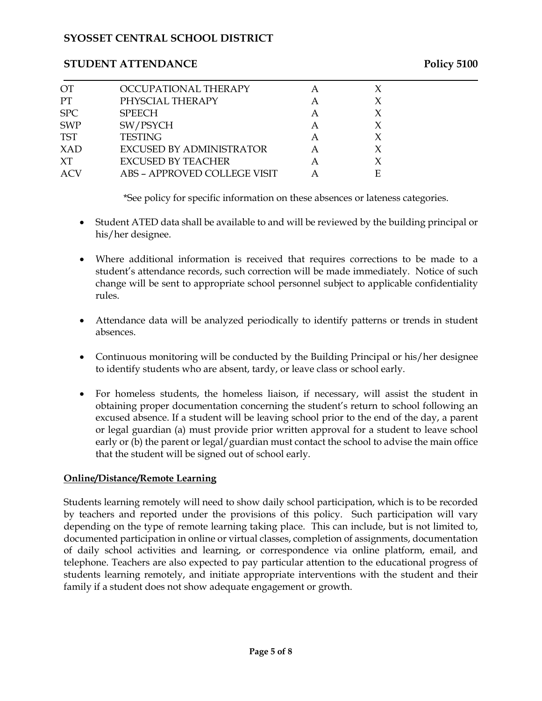## **STUDENT ATTENDANCE Policy 5100**

| OT         | OCCUPATIONAL THERAPY            |   |   |  |
|------------|---------------------------------|---|---|--|
| <b>PT</b>  | PHYSCIAL THERAPY                | A |   |  |
| SPC        | <b>SPEECH</b>                   | A |   |  |
| <b>SWP</b> | SW/PSYCH                        | A |   |  |
| <b>TST</b> | <b>TESTING</b>                  | A |   |  |
| XAD        | <b>EXCUSED BY ADMINISTRATOR</b> |   | X |  |
| XT         | EXCUSED BY TEACHER              | А |   |  |
| <b>ACV</b> | ABS - APPROVED COLLEGE VISIT    |   |   |  |

\*See policy for specific information on these absences or lateness categories.

- Student ATED data shall be available to and will be reviewed by the building principal or his/her designee.
- Where additional information is received that requires corrections to be made to a student's attendance records, such correction will be made immediately. Notice of such change will be sent to appropriate school personnel subject to applicable confidentiality rules.
- Attendance data will be analyzed periodically to identify patterns or trends in student absences.
- Continuous monitoring will be conducted by the Building Principal or his/her designee to identify students who are absent, tardy, or leave class or school early.
- For homeless students, the homeless liaison, if necessary, will assist the student in obtaining proper documentation concerning the student's return to school following an excused absence. If a student will be leaving school prior to the end of the day, a parent or legal guardian (a) must provide prior written approval for a student to leave school early or (b) the parent or legal/guardian must contact the school to advise the main office that the student will be signed out of school early.

# **Online/Distance/Remote Learning**

Students learning remotely will need to show daily school participation, which is to be recorded by teachers and reported under the provisions of this policy. Such participation will vary depending on the type of remote learning taking place. This can include, but is not limited to, documented participation in online or virtual classes, completion of assignments, documentation of daily school activities and learning, or correspondence via online platform, email, and telephone. Teachers are also expected to pay particular attention to the educational progress of students learning remotely, and initiate appropriate interventions with the student and their family if a student does not show adequate engagement or growth.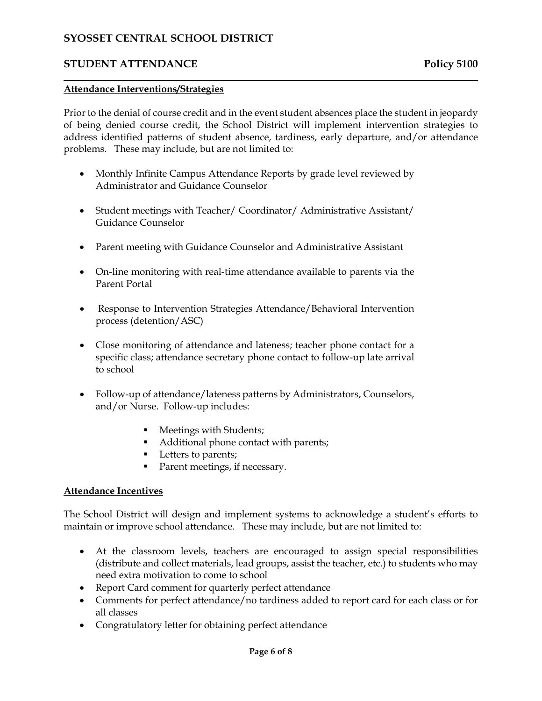# **STUDENT ATTENDANCE Policy 5100**

#### **Attendance Interventions/Strategies**

Prior to the denial of course credit and in the event student absences place the student in jeopardy of being denied course credit, the School District will implement intervention strategies to address identified patterns of student absence, tardiness, early departure, and/or attendance problems. These may include, but are not limited to:

- Monthly Infinite Campus Attendance Reports by grade level reviewed by Administrator and Guidance Counselor
- Student meetings with Teacher/ Coordinator/ Administrative Assistant/ Guidance Counselor
- Parent meeting with Guidance Counselor and Administrative Assistant
- On-line monitoring with real-time attendance available to parents via the Parent Portal
- Response to Intervention Strategies Attendance/Behavioral Intervention process (detention/ASC)
- Close monitoring of attendance and lateness; teacher phone contact for a specific class; attendance secretary phone contact to follow-up late arrival to school
- Follow-up of attendance/lateness patterns by Administrators, Counselors, and/or Nurse. Follow-up includes:
	- **Meetings with Students;**
	- Additional phone contact with parents;
	- Letters to parents;
	- Parent meetings, if necessary.

### **Attendance Incentives**

The School District will design and implement systems to acknowledge a student's efforts to maintain or improve school attendance. These may include, but are not limited to:

- At the classroom levels, teachers are encouraged to assign special responsibilities (distribute and collect materials, lead groups, assist the teacher, etc.) to students who may need extra motivation to come to school
- Report Card comment for quarterly perfect attendance
- Comments for perfect attendance/no tardiness added to report card for each class or for all classes
- Congratulatory letter for obtaining perfect attendance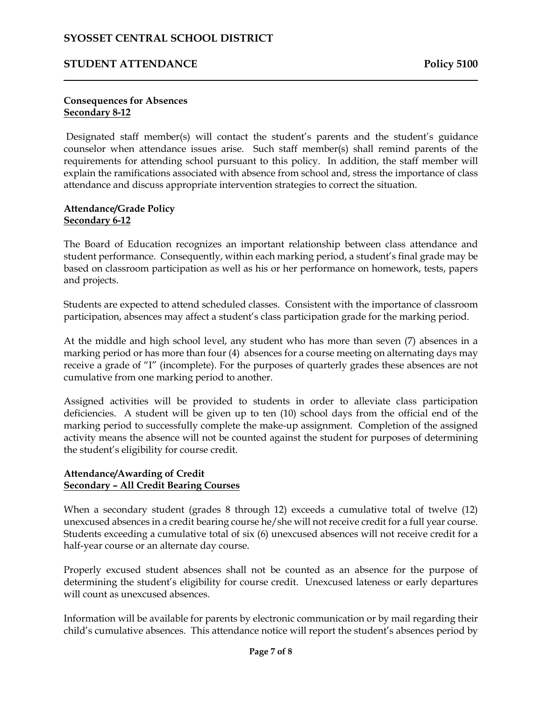## **STUDENT ATTENDANCE Policy 5100**

#### **Consequences for Absences Secondary 8-12**

Designated staff member(s) will contact the student's parents and the student's guidance counselor when attendance issues arise. Such staff member(s) shall remind parents of the requirements for attending school pursuant to this policy. In addition, the staff member will explain the ramifications associated with absence from school and, stress the importance of class attendance and discuss appropriate intervention strategies to correct the situation.

#### **Attendance/Grade Policy Secondary 6-12**

The Board of Education recognizes an important relationship between class attendance and student performance. Consequently, within each marking period, a student's final grade may be based on classroom participation as well as his or her performance on homework, tests, papers and projects.

Students are expected to attend scheduled classes. Consistent with the importance of classroom participation, absences may affect a student's class participation grade for the marking period.

At the middle and high school level, any student who has more than seven (7) absences in a marking period or has more than four (4) absences for a course meeting on alternating days may receive a grade of "I" (incomplete). For the purposes of quarterly grades these absences are not cumulative from one marking period to another.

Assigned activities will be provided to students in order to alleviate class participation deficiencies. A student will be given up to ten (10) school days from the official end of the marking period to successfully complete the make-up assignment. Completion of the assigned activity means the absence will not be counted against the student for purposes of determining the student's eligibility for course credit.

#### **Attendance/Awarding of Credit Secondary – All Credit Bearing Courses**

When a secondary student (grades 8 through 12) exceeds a cumulative total of twelve (12) unexcused absences in a credit bearing course he/she will not receive credit for a full year course. Students exceeding a cumulative total of six (6) unexcused absences will not receive credit for a half-year course or an alternate day course.

Properly excused student absences shall not be counted as an absence for the purpose of determining the student's eligibility for course credit. Unexcused lateness or early departures will count as unexcused absences.

Information will be available for parents by electronic communication or by mail regarding their child's cumulative absences. This attendance notice will report the student's absences period by